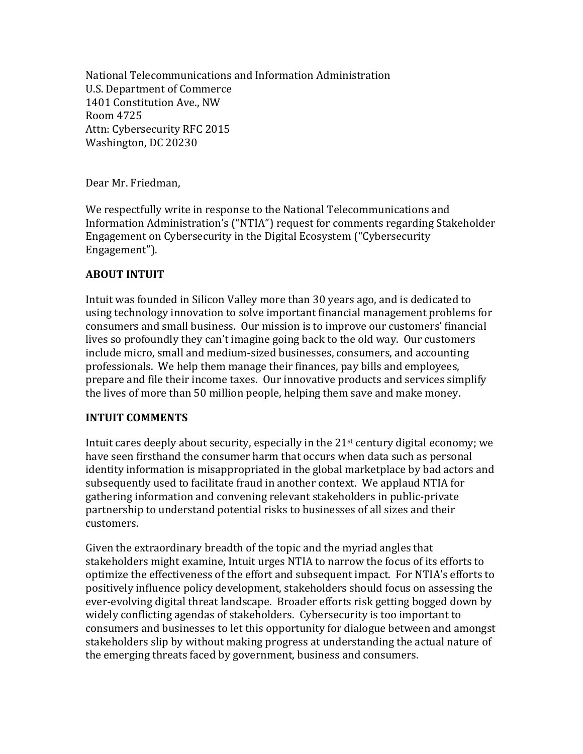National Telecommunications and Information Administration U.S. Department of Commerce 1401 Constitution Ave., NW Room 4725 Attn: Cybersecurity RFC 2015 Washington, DC 20230

Dear Mr. Friedman,

We respectfully write in response to the National Telecommunications and Information Administration's ("NTIA") request for comments regarding Stakeholder Engagement on Cybersecurity in the Digital Ecosystem ("Cybersecurity Engagement").

## **ABOUT INTUIT**

Intuit was founded in Silicon Valley more than 30 years ago, and is dedicated to using technology innovation to solve important financial management problems for consumers and small business. Our mission is to improve our customers' financial lives so profoundly they can't imagine going back to the old way. Our customers include micro, small and medium-sized businesses, consumers, and accounting professionals. We help them manage their finances, pay bills and employees, prepare and file their income taxes. Our innovative products and services simplify the lives of more than 50 million people, helping them save and make money.

## **INTUIT COMMENTS**

Intuit cares deeply about security, especially in the  $21<sup>st</sup>$  century digital economy; we have seen firsthand the consumer harm that occurs when data such as personal identity information is misappropriated in the global marketplace by bad actors and subsequently used to facilitate fraud in another context. We applaud NTIA for gathering information and convening relevant stakeholders in public-private partnership to understand potential risks to businesses of all sizes and their customers.

Given the extraordinary breadth of the topic and the myriad angles that stakeholders might examine, Intuit urges NTIA to narrow the focus of its efforts to optimize the effectiveness of the effort and subsequent impact. For NTIA's efforts to positively influence policy development, stakeholders should focus on assessing the ever-evolving digital threat landscape. Broader efforts risk getting bogged down by widely conflicting agendas of stakeholders. Cybersecurity is too important to consumers and businesses to let this opportunity for dialogue between and amongst stakeholders slip by without making progress at understanding the actual nature of the emerging threats faced by government, business and consumers.